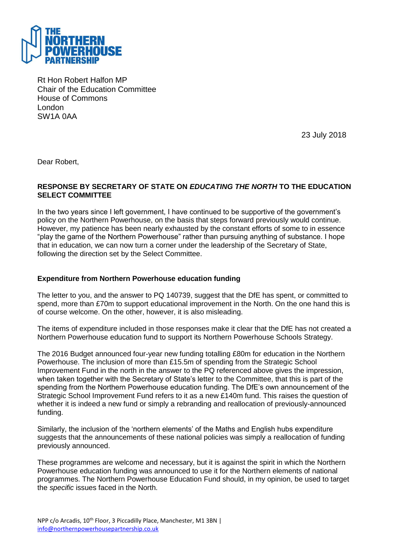

Rt Hon Robert Halfon MP Chair of the Education Committee House of Commons London SW1A 0AA

23 July 2018

Dear Robert,

## **RESPONSE BY SECRETARY OF STATE ON** *EDUCATING THE NORTH* **TO THE EDUCATION SELECT COMMITTEE**

In the two years since I left government, I have continued to be supportive of the government's policy on the Northern Powerhouse, on the basis that steps forward previously would continue. However, my patience has been nearly exhausted by the constant efforts of some to in essence "play the game of the Northern Powerhouse" rather than pursuing anything of substance. I hope that in education, we can now turn a corner under the leadership of the Secretary of State, following the direction set by the Select Committee.

## **Expenditure from Northern Powerhouse education funding**

The letter to you, and the answer to PQ 140739, suggest that the DfE has spent, or committed to spend, more than £70m to support educational improvement in the North. On the one hand this is of course welcome. On the other, however, it is also misleading.

The items of expenditure included in those responses make it clear that the DfE has not created a Northern Powerhouse education fund to support its Northern Powerhouse Schools Strategy.

The 2016 Budget announced four-year new funding totalling £80m for education in the Northern Powerhouse. The inclusion of more than £15.5m of spending from the Strategic School Improvement Fund in the north in the answer to the PQ referenced above gives the impression, when taken together with the Secretary of State's letter to the Committee, that this is part of the spending from the Northern Powerhouse education funding. The DfE's own announcement of the Strategic School Improvement Fund refers to it as a new £140m fund. This raises the question of whether it is indeed a new fund or simply a rebranding and reallocation of previously-announced funding.

Similarly, the inclusion of the 'northern elements' of the Maths and English hubs expenditure suggests that the announcements of these national policies was simply a reallocation of funding previously announced.

These programmes are welcome and necessary, but it is against the spirit in which the Northern Powerhouse education funding was announced to use it for the Northern elements of national programmes. The Northern Powerhouse Education Fund should, in my opinion, be used to target the *specific* issues faced in the North.